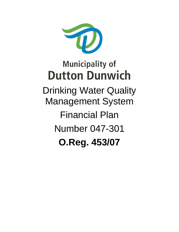

Drinking Water Quality Management System Financial Plan Number 047-301 **O.Reg. 453/07**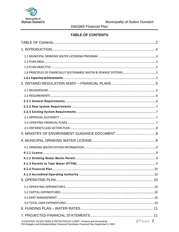

## **TABLE OF CONTENTS**

<span id="page-1-0"></span>

| S:\CENTRAL FILING INDEX & RETENTION BY-LAW\F - Finance and Accounting\<br>F05 Budgets and Estimates\Water Financial Plan\Water Financial Plan September 9, 2020 | $Page$ 2 |
|-----------------------------------------------------------------------------------------------------------------------------------------------------------------|----------|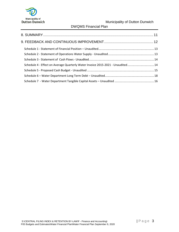

DWQMS Financial Plan

| Schedule 4 - Effect on Average Quarterly Water Invoice 2015-2021 - Unaudited 14 |  |
|---------------------------------------------------------------------------------|--|
|                                                                                 |  |
|                                                                                 |  |
|                                                                                 |  |
|                                                                                 |  |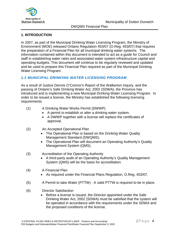

#### <span id="page-3-0"></span>**1. INTRODUCTION**

In 2007, as part of the Municipal Drinking Water Licensing Program, the Ministry of Environment (MOE) released Ontario Regulation 453/07 (O.Reg. 453/07) that requires the preparation of a Financial Plan for all municipal drinking water systems. The information contained within this document is intended to act as a guide for Council and staff in establishing water rates and associated water system infrastructure capital and operating budgets. This document will continue to be regularly reviewed and updated and be used to prepare this Financial Plan required as part of the Municipal Drinking Water Licensing Program.

## <span id="page-3-1"></span>*1.1 MUNICIPAL DRINKING WATER LICENSING PROGRAM*

As a result of Justice Dennis O'Connor's Report of the Walkerton Inquiry, and the passing of Ontario's Safe Drinking Water Act, 2002 (SDWA), the Province has introduced and is implementing a new Municipal Drinking Water Licensing Program. In order to be issued a license, the Ministry has established the following licensing requirements:

- (1) A Drinking Water Works Permit (DWWP)
	- A permit to establish or alter a drinking water system.
	- A DWWP together with a license will replace the certificates of approval.
- (2) An Accepted Operational Plan
	- The Operational Plan is based on the Drinking Water Quality Management Standard (DWQMS).
	- The Operational Plan will document an Operating Authority's Quality Management System (QMS).
- (3) Accreditation of the Operating Authority
	- A third-party audit of an Operating Authority's Quality Management System (QMS) will be the basis for accreditation.
- (4) A Financial Plan
	- As required under the Financial Plans Regulation, O.Reg. 453/07.
- (5) A Permit to take Water (PTTW) A valid PTTW is required to be in place.
- <span id="page-3-2"></span>(6) Director Satisfaction
	- Before a license is issued, the Director appointed under the Safe Drinking Water Act, 2002 (SDWA) must be satisfied that the system will be operated in accordance with the requirements under the SDWA and the proposed conditions of the license.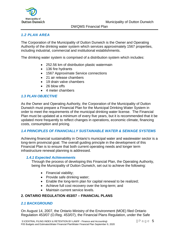

DWQMS Financial Plan

## *1.2 PLAN AREA*

The Corporation of the Municipality of Dutton Dunwich is the Owner and Operating Authority of the drinking water system which services approximately 1567 properties, including industrial, commercial and institutional establishments.

The drinking water system is comprised of a distribution system which includes:

- 252.56 km of distribution plastic watermain
- 136 fire hydrants
- 1567 Approximate Service connections
- 21 air release chambers
- 19 drain valve chambers
- 26 blow offs
- 4 meter chambers

#### <span id="page-4-0"></span>*1.3 PLAN OBJECTIVE*

As the Owner and Operating Authority, the Corporation of the Municipality of Dutton Dunwich must prepare a Financial Plan for the Municipal Drinking Water System in order to meet the requirements of the municipal drinking water license. The Financial Plan must be updated at a minimum of every five years, but it is recommended that it be updated more frequently to reflect changes in operations, economic climate, financing costs, consumption and pricing.

#### <span id="page-4-1"></span>*1.4 PRINCIPLES OF FINANCIALLY SUSTAINABLE WATER & SEWAGE SYSTEMS*

Achieving financial sustainability in Ontario's municipal water and wastewater sector is a long-term provincial goal. The overall guiding principle in the development of this Financial Plan is to ensure that both current operating needs and longer term infrastructure renewal planning is addressed.

#### <span id="page-4-2"></span>*1.4.1 Expected Achievements*

Through the process of developing this Financial Plan, the Operating Authority, being the Municipality of Dutton Dunwich, set out to achieve the following:

- Financial viability;
- Provide safe drinking water;
- Enable the long-term plan for capital renewal to be realized;
- Achieve full cost recovery over the long-term; and
- Maintain current service levels.

#### <span id="page-4-3"></span>**2. ONTARIO REGULATION 453/07 – FINANCIAL PLANS**

#### <span id="page-4-4"></span>*2.1 BACKGROUND*

On August 14, 2007, the Ontario Ministry of the Environment (MOE) filed Ontario Regulation 453/07 (O.Reg. 453/07), the Financial Plans Regulation, under the Safe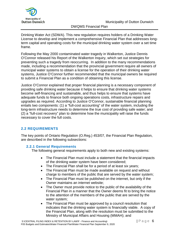

DWQMS Financial Plan

Drinking Water Act (SDWA). This new regulation requires holders of a Drinking Water License to develop and implement a comprehensive Financial Plan that addresses longterm capital and operating costs for the municipal drinking water system over a set time frame.

Following the May 2000 contaminated water tragedy in Walkerton, Justice Dennis O'Connor released his Report of the Walkerton Inquiry, which set out strategies for preventing such a tragedy from reoccurring. In addition to the many recommendations made, including a recommendation that the provincial government require all owners of municipal water systems to obtain a license for the operation of their drinking water systems, Justice O'Connor further recommended that the municipal owners be required to submit a Financial Plan as a condition of obtaining this license.

Justice O'Connor explained that proper financial planning is a necessary component of providing safe drinking water because it helps to ensure that drinking water systems become self-financing and sustainable, and thus helps to ensure that systems have adequate funds to finance both ongoing operations costs, infrastructure repairs and upgrades as required. According to Justice O'Connor, sustainable financial planning entails two components: (1) a "full-cost accounting" of the water system, including the long-term infrastructure needs to determine the true cost of providing safe water; and (2) a "full-cost recovery" plan to determine how the municipality will raise the funds necessary to cover the full costs.

# <span id="page-5-0"></span>**2.2 REQUIREMENTS**

The key points of Ontario Regulation (O.Reg.) 453/07, the Financial Plan Regulation, are described in the following subsections:

## <span id="page-5-1"></span>**2.2.1 General Requirements**

The following general requirements apply to both new and existing systems:

- The Financial Plan must include a statement that the financial impacts of the drinking water system have been considered;
- The Financial Plan shall be for a period of at least six years;
- The Financial Plan must be made available on request and without charge to members of the public that are served by the water system;
- The Financial Plan must be published on the internet, but only if the Owner maintains an internet website;
- The Owner must provide notice to the public of the availability of the Financial Plan in a manner that the Owner deems fit to bring the notice to the attention of the members of the public that are served by the water system;
- The Financial Plan must be approved by a council resolution that indicates that the drinking water system is financially viable. A copy of the Financial Plan, along with the resolution must be submitted to the Ministry of Municipal Affairs and Housing (MMAH); and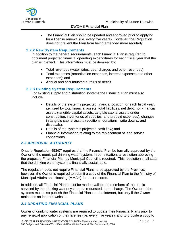

• The Financial Plan should be updated and approved prior to applying for a license renewal (i.e. every five years). However, the Regulation does not prevent the Plan from being amended more regularly.

## <span id="page-6-0"></span>**2.2.2 New System Requirements**

In addition to the general requirements, each Financial Plan is required to document projected financial operating expenditures for each fiscal year that the plan is in effect. This information must be itemized by:

- Total revenues (water rates, user charges and other revenues);
- Total expenses (amortization expenses, interest expenses and other expenses); and
- Annual and accumulated surplus or deficit.

## <span id="page-6-1"></span>**2.2.3 Existing System Requirements**

For existing supply and distribution systems the Financial Plan must also include:

- Details of the system's projected financial position for each fiscal year, itemized by total financial assets, total liabilities, net debt, non-financial assets (tangible capital assets, tangible capital assets under construction, inventories of supplies, and prepaid expenses), changes in tangible capital assets (additions, donations, write downs, and disposals);
- Details of the system's projected cash flow; and
- Financial information relating to the replacement of lead service connections.

## <span id="page-6-2"></span>*2.3 APPROVAL AUTHORITY*

Ontario Regulation 453/07 requires that the Financial Plan be formally approved by the Owner of the municipal drinking water system. In our situation, a resolution approving the proposed Financial Plan by Municipal Council is required. This resolution shall state that the drinking water system is financially sustainable.

The regulation does not require Financial Plans to be approved by the Province; however, the Owner is required to submit a copy of the Financial Plan to the Ministry of Municipal Affairs and Housing (MMAH) for their records.

In addition, all Financial Plans must be made available to members of the public serviced by the drinking water system, as requested, at no charge. The Owner of the systems must also publish the Financial Plans on the internet, but only if the Owner maintains an internet website.

## <span id="page-6-3"></span>*2.4 UPDATING FINANCIAL PLANS*

Owner of drinking water systems are required to update their Financial Plans prior to any renewal application of their license (i.e. every five years), and to provide a copy to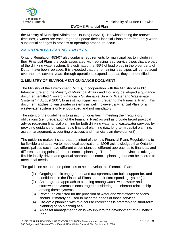

the Ministry of Municipal Affairs and Housing (MMAH). Notwithstanding the renewal timelines, Owners are encouraged to update their Financial Plans more frequently when substantial changes in process or operating procedure occur.

## <span id="page-7-0"></span>*2.5 ONTARIO'S LEAD ACTION PLAN*

Ontario Regulation 453/07 also contains requirements for municipalities to include in their Financial Plans the costs associated with replacing lead service pipes that are part of the drinking-water system. It is estimated that 95% of lead pipes in the older parts of Dutton have been replaced. It is expected that the remaining lead pipes will be replaced over the next several years through operational expenditures as they are identified.

## <span id="page-7-1"></span>**3. MINISTRY OF ENVIRONMENT GUIDANCE DOCUMENT**

The Ministry of the Environment (MOE), in cooperation with the Ministry of Public Infrastructure and the Ministry of Municipal Affairs and Housing, developed a guidance document entitled "Toward Financially Sustainable Drinking Water and Wastewater Systems" in August 2007, to assist municipalities in preparing the Financial Plan. This document applies to wastewater systems as well; however, a Financial Plan for a wastewater system is only encouraged and not mandatory.

The intent of the guideline is to assist municipalities in meeting their regulatory obligations (i.e., preparation of the Financial Plan) as well as provide broad practical advice regarding financial planning for both drinking water and wastewater services by providing guidance on sustainable financial planning (i.e., long-term capital planning, asset management, accounting practices and financial plan development).

The guideline makes it clear that the intent of the new Financial Plans Regulation is to be flexible and adaptive to meet local applications. MOE acknowledges that Ontario municipalities each have different circumstances, different approaches to finances, and different starting points for their financial planning. Therefore, the province is taking a flexible locally-driven and gradual approach to financial planning that can be tailored to meet local needs.

The guideline set out nine principles to help develop this Financial Plan:

- (1) Ongoing public engagement and transparency can build support for, and confidence in the Financial Plans and their corresponding system(s).
- (2) An integrated approach to planning among water, wastewater and stormwater systems is encouraged considering the inherent relationship among these systems.
- (3) Revenues collected for the provision of water and wastewater services should ultimately be used to meet the needs of those services.
- (4) Life-cycle planning with mid-course corrections is preferable to short-term planning or no planning at all.
- (5) An asset management plan is key input to the development of a Financial Plan.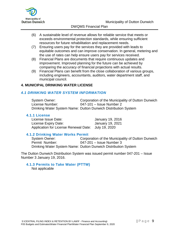

- (6) A sustainable level of revenue allows for reliable service that meets or exceeds environmental protection standards, while ensuring sufficient resources for future rehabilitation and replacement needs.
- (7) Ensuring users pay for the services they are provided with leads to equitable outcomes and can improve conservation. In general, metering and the use of rates can help ensure users pay for services received.
- (8) Financial Plans are documents that require continuous updates and improvement. Improved planning for the future can be achieved by comparing the accuracy of financial projections with actual results.
- (9) Financial Plans can benefit from the close collaboration of various groups, including engineers, accountants, auditors, water department staff, and municipal council.

#### <span id="page-8-0"></span>**4. MUNICIPAL DRINKING WATER LICENSE**

#### <span id="page-8-1"></span>*4.1 DRINKING WATER SYSTEM INFORMATION*

System Owner: Corporation of the Municipality of Dutton Dunwich License Number: 047-101 – Issue Number 2 Drinking Water System Name: Dutton Dunwich Distribution System

#### <span id="page-8-2"></span>**4.1.1 License**

License Issue Date: January 19, 2016 License Expiry Date: January 19, 2021 Application for License Renewal Date: July 19, 2020

#### <span id="page-8-3"></span>**4.1.2 Drinking Water Works Permit**

System Owner: Corporation of the Municipality of Dutton Dunwich Permit Number: 047-201 – Issue Number 3 Drinking Water System Name: Dutton Dunwich Distribution System

The Dutton Dunwich Distribution System was issued permit number 047-201 – Issue Number 3 January 19, 2016.

#### <span id="page-8-4"></span>**4.1.3 Permits to Take Water (PTTW)**

Not applicable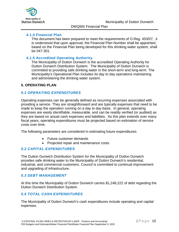

#### <span id="page-9-0"></span>**4.1.4 Financial Plan**

This document has been prepared to meet the requirements of O.Reg. 453/07, it is understood that upon approval, the Financial Plan Number shall be appointed, based on the Financial Plan being developed for this drinking water system, shall be 047-301.

#### <span id="page-9-1"></span>**4.1.5 Accredited Operating Authority**

The Municipality of Dutton Dunwich is the accredited Operating Authority for Dutton Dunwich Distribution System. The Municipality of Dutton Dunwich is committed to providing safe drinking water in the short-term and long-term. The Municipality's Operational Plan includes its day to day operations maintaining and administering the drinking water system.

#### <span id="page-9-2"></span>**5. OPERATING PLAN**

## <span id="page-9-3"></span>*5.1 OPERATING EXPENDITURES*

Operating expenses can be generally defined as recurring expenses associated with providing a service. They are straightforward and are typically expenses that need to be made to keep the operation running on a day to day basis. In general, operating expenses are easily identifiable, measurable, and can be readily verified (or audited) as they are based on actual cash expenses and liabilities. As this plan extends over many fiscal years, operating expenditures must be projected based on estimation of service costs over time.

The following parameters are considered in estimating future expenditures:

- Future customer demands
- Projected repair and maintenance costs

## <span id="page-9-4"></span>*5.2 CAPITAL EXPENDITURES*

The Dutton Dunwich Distribution System for the Municipality of Dutton Dunwich provides safe drinking water to the Municipality of Dutton Dunwich's residential, industrial, and commercial customers. Council is committed to continual improvement and upgrading of infrastructure.

#### <span id="page-9-5"></span>*5.3 DEBT MANAGEMENT*

At this time the Municipality of Dutton Dunwich carries \$1,248,222 of debt regarding the Dutton Dunwich Distribution System.

## <span id="page-9-6"></span>*5.4 TOTAL CASH EXPENDITURES*

The Municipality of Dutton Dunwich's cash expenditures include operating and capital expenses.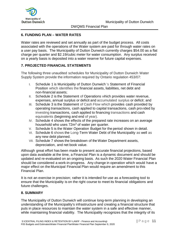

## <span id="page-10-0"></span>**6. FUNDING PLAN – WATER RATES**

Water rates are reviewed and set annually as part of the budget process. All costs associated with the operations of the Water system are paid for through water rates on a user pay basis. The Municipality of Dutton Dunwich currently charges \$54.00 as a flat charge per quarter and \$2.19/cubic meter for water consumption. Any surplus received on a yearly basis is deposited into a water reserve for future capital expenses.

## <span id="page-10-1"></span>**7. PROJECTED FINANCIAL STATEMENTS**

The following three unaudited schedules for Municipality of Dutton Dunwich Water Supply System provide the information required by Ontario regulation 453/07:

- I. Schedule 1 is Municipality of Dutton Dunwich 's Statement of Financial Position which identifies the financial assets, liabilities, net debt and non-financial assets;
- II. Schedule 2 is the Statement of Operations which provides water revenue, expenses, annual surplus or deficit and accumulated surplus or deficit; and
- III. Schedule 3 is the Statement of Cash Flow which provides cash provided by operating transactions, cash applied to capital transactions, cash provided by investing transactions, cash applied to financing transactions and cash equivalents (beginning and end of year).
- IV. Schedule 4 shows the effects of the prepared rate increases on an average household who uses 72m<sup>3</sup> of water per quarter.
- V. Schedule 5 is the Water Operation Budget for the period shown in detail.
- VI. Schedule 6 shows the Long-Term Water Debt of the Municipality as well as any new debt planned.
- VII. Schedule 7 shows the breakdown of the Water Department assets, depreciation, and net book value.

Although great effort has been made to present accurate financial projections, based upon data available at the time, a Financial Plan is a dynamic document and should be updated and re-evaluated on an ongoing basis. As such the 2020 Water Financial Plan should be considered a work-in-progress. Any change in operation which would have a major effect on the Municipal Financial Plan would require an amendment to this Financial Plan.

It is not an exercise in precision; rather it is intended for use as a forecasting tool to ensure that the Municipality is on the right course to meet its financial obligations and future challenges.

## <span id="page-10-2"></span>**8. SUMMARY**

The Municipality of Dutton Dunwich will continue long-term planning in developing an understanding of the Municipality's infrastructure and creating a financial structure that puts in place resources to maintain the water system in a safe and effective manner, while maintaining financial viability. The Municipality recognizes that the integrity of its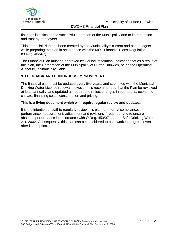

DWQMS Financial Plan

finances is critical to the successful operation of the Municipality and to its reputation and trust by ratepayers.

This Financial Plan has been created by the Municipality's current and past budgets while preparing the plan in accordance with the MOE Financial Plans Regulation (O.Reg. 453/07).

The Financial Plan must be approved by Council resolution, indicating that as a result of this plan, the Corporation of the Municipality of Dutton Dunwich, being the Operating Authority, is financially viable.

## <span id="page-11-0"></span>**9. FEEDBACK AND CONTINUOUS IMPROVEMENT**

The financial plan must be updated every five years, and submitted with the Municipal Drinking Water License renewal, however, it is recommended that the Plan be reviewed at least annually, and updated as required to reflect changes in operations, economic climate, financing costs, consumption and pricing.

#### **This is a living document which will require regular review and updates.**

It is the intention of staff to regularly review this plan for internal compliance, performance measurement, adjustment and revisions if required, and to ensure absolute performance in accordance with O.Reg. 453/07 and the Safe Drinking Water Act, 2002. Consequently, this plan can be considered to be a work in progress even after its adoption.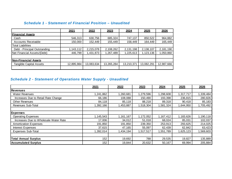|                              | 2021       | 2022       | 2023       | 2024       | 2025       | 2026       |
|------------------------------|------------|------------|------------|------------|------------|------------|
| <b>Financial Assets</b>      |            |            |            |            |            |            |
| Cash                         | 546,313    | 630,756    | 685,324    | 747,137    | 850,522    | 964,882    |
| Accounts Receivable          | 150,000    | 152,449    | 155,449    | 158,449    | 164,449    | 165,449    |
| Total Liabilities            |            |            |            |            |            |            |
| Debt - Principal Outstanding | 1,143,112  | 2,215,078  | 2,108,262  | 2,131,198  | 2,138,107  | 2,181,190  |
| Net Financial Assets/(Debt)  | 446,799    | 1,431,873  | ,267,489   | 1,225,613  | 1,123,136  | 1,050,860  |
|                              |            |            |            |            |            |            |
| Non-Financial Assets         |            |            |            |            |            |            |
| Tangible Capital Assets      | 12,895,984 | 13,083,634 | 13,265,284 | 13,210,371 | 13,082,291 | 12,987,666 |
|                              |            |            |            |            |            |            |

## *Schedule 1 - Statement of Financial Position – Unaudited*

# <span id="page-12-0"></span>*Schedule 2 - Statement of Operations Water Supply - Unaudited*

<span id="page-12-1"></span>

|                                       | 2021      | 2022      | 2023      | 2024      | 2025      | 2026      |
|---------------------------------------|-----------|-----------|-----------|-----------|-----------|-----------|
| <b>Revenues</b>                       |           |           |           |           |           |           |
| <b>Water Revenues</b>                 | 1,241,862 | ,260,681  | ,279,596  | 1,298,608 | 1,317,717 | 1,339,484 |
| Increases Due to Retail Rate Change   | 66,186    | 108,088   | 150,490   | 193,398   | 236,815   | 280,826   |
| <b>Other Revenues</b>                 | 84,118    | 85,118    | 88,218    | 89,318    | 90,418    | 85,183    |
| Revenues Sub-Total                    | 1,392,166 | ,453,887  | ,518,304  | ,581,324  | 1,644,950 | 1,705,492 |
|                                       |           |           |           |           |           |           |
| <b>Expenses</b>                       |           |           |           |           |           |           |
| <b>Operating Expenses</b>             | 1,145,543 | 1,161,167 | 1,172,052 | 1,167,412 | 1,183,626 | 1,190,118 |
| Increases Due to Wholesale Water Rate | 17,006    | 34,012    | 51,018    | 68,024    | 85,031    | 102,037   |
| <b>Amortization Expenses</b>          | 191,850   | 191,850   | 239,350   | 253,913   | 293,625   | 214,025   |
| Interest Expenses                     | 37,615    | 47,165    | 55,097    | 62,439    | 62,842    | 63,423    |
| <b>Expenses Sub-Total</b>             | 1,392,014 | 1,434,194 | 517,517   | 1,551,789 | 1,625,123 | 1,569,603 |
|                                       |           |           |           |           |           |           |
| <b>Total Annual Surplus</b>           | 152       | 19,692    | 788       | 29,535    | 19,827    | 135,889   |
| <b>Accumulated Surplus</b>            | 152       | 19,844    | 20,632    | 50,167    | 69,994    | 205,884   |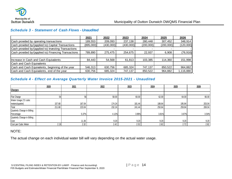

## *Schedule 3 - Statement of Cash Flows - Unaudited*

|                                                      | 2021      | 2022      | 2023      | 2024      | 2025      | 2026      |
|------------------------------------------------------|-----------|-----------|-----------|-----------|-----------|-----------|
| Cash provided by operating transactions              | 189,553   | 209,093   | 237,138   | 280,448   | 307,452   | 348,914   |
| Cash provided by/(applied to) Capital Transactions   | (895,000) | (430,000) | (430,000) | (200,000) | (200,000) | (120,000) |
| Cash provided by/(applied to) Investing Transactions |           |           |           |           |           |           |
| Cash provided by/(applied to) Financing Transactions | 789.890   | 275,475   | 254,675   | 22,937    | 6,908     | (76, 916) |
|                                                      |           |           |           |           |           |           |
| Increase in Cash and Cash Equivalents                | 84.443    | 54,568    | 61,813    | 103,385   | 114.360   | 151,998   |
| Cash and Cash Equivalents                            |           |           |           |           |           |           |
| Cash and Cash Equivalents, beginning of the year     | 546,313   | 630,756   | 685,324   | 747,137   | 850,522   | 964,882   |
| Cash and Cash Equivalents, end of the year           | 630,756   | 685,324   | 747,137   | 850,522   | 964,882   | 1,116,880 |

## <span id="page-13-0"></span>*Schedule 4 - Effect on Average Quarterly Water Invoice 2015-2021 - Unaudited*

|                             | 2020   | 2021   | 2022   | 2023   | 2024   | 2025   | 2026   |
|-----------------------------|--------|--------|--------|--------|--------|--------|--------|
| <b>Charges</b>              |        |        |        |        |        |        |        |
|                             |        |        |        |        |        |        |        |
| Flat Charge                 | 54     | 56     | 58.00  | 60.00  | 62.00  | 64.00  | 66.00  |
| Water Usage (72 cubic       |        |        |        |        |        |        |        |
| meters/quarter)             | 157.68 | 167.04 | 174.24 | 181.44 | 188.64 | 195.84 | 203.04 |
| Total                       | 211.68 | 223.04 | 232.24 | 241.44 | 250.64 | 259.84 | 269.04 |
| Quarterly Change in Billing |        |        |        |        |        |        |        |
| Percentage                  |        | 5.37%  | 4.12%  | 3.96%  | 3.81%  | 3.67%  | 3.54%  |
| Quarterly Change in Billing |        |        |        |        |        |        |        |
| Cost                        |        | 11.36  | 9.20   | 9.20   | 9.20   | 9.20   | 9.20   |
| Cost per Cubic Meter        | 2.19   | 2.32   | 2.42   | 2.52   | 2.62   | 2.72   | 2.82   |

<span id="page-13-1"></span>NOTE:

The actual change on each individual water bill will vary depending on the actual water usage.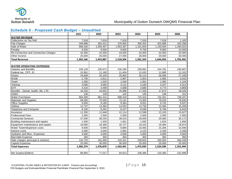

<span id="page-14-0"></span>

|                                      | 2021      | 2022      | 2023      | 2024      | 2025      | 2026      |
|--------------------------------------|-----------|-----------|-----------|-----------|-----------|-----------|
| <b>WATER REVENUE</b>                 |           |           |           |           |           |           |
| Collections on Tax Roll              | 7,618     | 7,618     | 7,618     | 7,618     | 7,618     | 1,183     |
| <b>Flat Charges</b>                  | 349,888   | 363,312   | 376,800   | 390,352   | 403,968   | 420,288   |
| Sale of Water                        | 958,160   | 1,005,457 | 1,053,287 | 1,101,654 | 1,150,564 | 1,200,022 |
| Penalty                              | 9,500     | 9,500     | 9,600     | 9,700     | 9,800     | 10,000    |
| Re-Connection and Connection Charges | 42,000    | 42,000    | 44,000    | 44,000    | 44,000    | 44,000    |
| Other Income                         | 25,000    | 26,000    | 27,000    | 28,000    | 29,000    | 30,000    |
| <b>Total Revenue</b>                 | 1,392,166 | 1,453,887 | 1,518,304 | 1,581,324 | 1,644,950 | 1,705,492 |
| <b>WATER OPERATING EXPENSES</b>      |           |           |           |           |           |           |
| Salaries and Benefits                | 226,149   | 230,672   | 235,285   | 239,991   | 244,791   | 249,687   |
| Federal tax, CPP, EI                 | 10,961    | 11,180    | 11,404    | 11,632    | 11,865    | 12,102    |
| Omers                                | 24,608    | 25,100    | 25,602    | 26,114    | 26,636    | 27,169    |
| <b>WSIB</b>                          | 2,756     | 2,811     | 2,867     | 2,924     | 2,982     | 3,042     |
| Travel                               | 1,000     | 1,020     | 1,040     | 1,061     | 1,082     | 1,104     |
| Training                             | 3,000     | 3,060     | 3,121     | 3,183     | 3,247     | 3,312     |
| <b>EHT</b>                           | 4,410     | 4,498     | 4,588     | 4,680     | 4,774     | 4,869     |
| Benefits - Dental, health, life, LTD | 16,326    | 16,653    | 16,986    | 17,326    | 17,673    | 18,026    |
| AD&D                                 | 136       | 139       | 142       | 145       | 148       | 151       |
| <b>Water Purchases</b>               | 664,306   | 681,312   | 698,318   | 715,324   | 732,331   | 749,337   |
| Materials and Supplies               | 68,000    | 70,040    | 72,141    | 74,305    | 76,534    | 78,830    |
| <b>Office Supplies</b>               | 9,000     | 9,180     | 9,364     | 9,551     | 9,742     | 9,937     |
| <b>Utilities</b>                     | 12,747    | 13,384    | 14,053    | 14,756    | 15,494    | 16,269    |
| Telephone and Computer               | 8,100     | 8,262     | 8,427     | 8,596     | 8,768     | 8,943     |
| Insurance                            | 11,200    | 11,648    | 12,114    | 12,599    | 13,103    | 13,627    |
| <b>Professional Fees</b>             | 2,000     | 2,000     | 2,000     | 2,000     | 2,000     | 2,000     |
| <b>Contracted Services</b>           | 37,500    | 38,250    | 39,015    | 29,000    | 29,580    | 30,172    |
| Building maintenance and repairs     | 1,500     | 1,530     | 1,561     | 1,592     | 1,624     | 1,656     |
| Equipment maintenance and repairs    | 18,000    | 18,360    | 18,727    | 19,102    | 19,484    | 19,874    |
| Water Tower/dispenser costs          | 9,500     | 9,690     | 9,884     | 10,082    | 15,284    | 10,490    |
| Interest costs                       | 2,000     | 2,040     | 2,081     | 2,123     | 2,165     | 2,208     |
| Hydrants and Misc. Expenses          | 4,000     | 4,000     | 4,000     | 4,000     | 4,000     | 4,000     |
| <b>Bad Debt Expense</b>              | 350       | 350       | 350       | 350       | 350       | 350       |
| Debt charges (principal & interest)  | 142,725   | 181,690   | 210,421   | 239,503   | 255,933   | 260,339   |
| <b>Capital Expenses</b>              | 25,000    | 30,000    | 30,000    | 25,000    | 25,000    | 25,000    |
| <b>Total Expenses</b>                | 1,305,274 | 1,376,870 | 1,433,491 | 1,474,939 | 1,524,590 | 1,552,494 |
|                                      |           |           |           |           |           |           |
| Net Surplus/(Deficit)                | 86,892    | 77,017    | 84,813    | 106,385   | 120,360   | 152,998   |

#### *Schedule 5 - Proposed Cash Budget – Unaudited*

S:\CENTRAL FILING INDEX & RETENTION BY-LAW\F - Finance and Accounting\  $\vert$  P a g e 15 F05 Budgets and Estimates\Water Financial Plan\Water Financial Plan September 9, 2020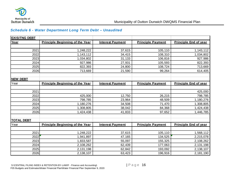

## *Schedule 6 - Water Department Long Term Debt – Unaudited*

<span id="page-15-0"></span>

| <b>EXISITNG DEBT</b> |                                        |                         |                          |                              |
|----------------------|----------------------------------------|-------------------------|--------------------------|------------------------------|
| Year                 | <b>Principle Beginning of the Year</b> | <b>Interest Payment</b> | <b>Principle Payment</b> | <b>Principle End of year</b> |
|                      |                                        |                         |                          |                              |
| 2021                 | 1,248,222                              | 37,615                  | 105,110                  | 1,143,112                    |
| 2022                 | 1,143,112                              | 34,415                  | 108,310                  | 1,034,802                    |
| 2023                 | 1,034,802                              | 31,133                  | 106,816                  | 927,986                      |
| 2024                 | 927,986                                | 27,931                  | 105,593                  | 822,393                      |
| 2025                 | 822,393                                | 24,800                  | 108,724                  | 713,669                      |
| 2026                 | 713,669                                | 21,590                  | 99,264                   | 614,405                      |
|                      |                                        |                         |                          |                              |
| <b>NEW DEBT</b>      |                                        |                         |                          |                              |
| Year                 | <b>Principle Beginning of the Year</b> | <b>Interest Payment</b> | <b>Principle Payment</b> | <b>Principle End of year</b> |
|                      |                                        |                         |                          |                              |
| 2021                 |                                        |                         |                          | 425,000                      |
| 2022                 | 425,000                                | 12,750                  | 26,215                   | 798,785                      |
| 2023                 | 798,785                                | 23,964                  | 48,509                   | 1,180,276                    |
| 2024                 | 1,180,276                              | 34,508                  | 71,470                   | 1,308,805                    |
| 2025                 | 1,308,805                              | 38,042                  | 84,368                   | 1,424,438                    |
| 2026                 | 1,424,438                              | 41,833                  | 97,652                   | 1,446,785                    |
|                      |                                        |                         |                          |                              |
| <b>TOTAL DEBT</b>    |                                        |                         |                          |                              |
| Year                 | <b>Principle Beginning of the Year</b> | <b>Interest Payment</b> | <b>Principle Payment</b> | <b>Principle End of year</b> |
|                      |                                        |                         |                          |                              |
| 2021                 | 1,248,222                              | 37,615                  | 105,110                  | 1,568,112                    |
| 2022                 | 1,941,897                              | 47,165                  | 134,525                  | 2,215,078                    |
| 2023                 | 1,833,587                              | 55,097                  | 155,325                  | 2,108,262                    |
| 2024                 | 2,108,262                              | 62,439                  | 177,063                  | 2,131,198                    |
| 2025                 | 2,131,198                              | 62,842                  | 193,092                  | 2,138,107                    |
| 2026                 | 2,138,107                              | 63,423                  | 196,916                  | 2,181,190                    |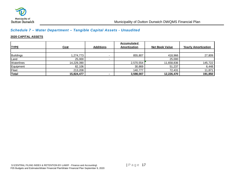

# *Schedule 7 – Water Department – Tangible Capital Assets - Unaudited*

#### **2020 CAPITAL ASSETS**

|              |             |                          | Accumulated  |                       |                            |
|--------------|-------------|--------------------------|--------------|-----------------------|----------------------------|
| <b>TYPE</b>  | <u>Cost</u> | <b>Additions</b>         | Amortization | <b>Net Book Value</b> | <b>Yearly Amortization</b> |
|              |             |                          |              |                       |                            |
| Buildings    | 1,274,773   | $\sim$                   | 855,807      | 418,966               | 27,809                     |
| Land         | 25,000      | $\overline{\phantom{a}}$ |              | 25,000                |                            |
| Waterlines   | 14,229,390  |                          | 2,570,554    | 11,658,836            | 145,722                    |
| Equipment    | 82,106      |                          | 30,869       | 51,237                | 6,448                      |
| Fleet        | 213,208     |                          | 140,777      | 72,431                | 11,871                     |
| <b>Total</b> | 15,824,477  | $\blacksquare$           | 3,598,007    | 12,226,470            | 191,850                    |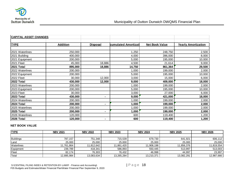

| <b>CAPITAL ASSET CHANGES</b> |                 |                 |                      |                       |                            |
|------------------------------|-----------------|-----------------|----------------------|-----------------------|----------------------------|
|                              |                 |                 |                      |                       |                            |
| <b>TYPE</b>                  | <b>Addition</b> | <b>Disposal</b> | cumulated Amortizati | <b>Net Book Value</b> | <b>Yearly Amortization</b> |
|                              |                 |                 |                      |                       |                            |
| 2021 Waterlines              | 250,000         |                 | ,250                 | 248,750               | 2,500                      |
| 2021 Building                | 400,000         |                 | 4,000                | 396,000               | 8,000                      |
| 2021 Equipment               | 200,000         |                 | 5,000                | 195,000               | 10,000                     |
| 2021 Fleet                   | 45,000          | 18,886          | 4,500                | 21,614                | 9,000                      |
| 2021 Total                   | 895,000         | 18,886          | 14,750               | 861,364               | 29,500                     |
| 2022 Waterlines              | 200,000         |                 | 1,000                | 199,000               | 2,000                      |
| 2022 Equipment               | 200,000         |                 | 5,000                | 195,000               | 10,000                     |
| 2022 Fleet                   | 30,000          | 12,000          | 3,000                | 15,000                | 6,000                      |
| 2022 Total                   | 430,000         | 12,000          | 9,000                | 409,000               | 18,000                     |
| 2023 Waterlines              | 200,000         |                 | 1,000                | 199,000               | 2,000                      |
| 2023 Equipment               | 200,000         |                 | 5,000                | 195,000               | 10,000                     |
| 2023 Fleet                   | 30,000          |                 | 3,000                | 27,000                | 6,000                      |
| 2023 Total                   | 430,000         | $\blacksquare$  | 9,000                | 421,000               | 18,000                     |
| 2024 Waterlines              | 200,000         |                 | 1,000                | 199,000               | 2,000                      |
| 2024 Total                   | 200,000         | $\blacksquare$  | 1,000                | 199,000               | 2,000                      |
| 2025 Waterlines              | 200,000         |                 | 1,000                | 199,000               | 2,000                      |
| 2025 Total                   | 200,000         | $\blacksquare$  | 1,000                | 199,000               | 2,000                      |
| 2026 Waterlines              | 120,000         |                 | 600                  | 119,400               | 1,200                      |
| 2026 Total                   | 120,000         | $\blacksquare$  | 600                  | 119,400               | 1,200                      |

#### **NET BOOK VALUE**

| <b>TYPE</b>        | <b>NBV 2021</b> | <b>NBV 2022</b> | <b>NBV 2023</b> | <b>NBV 2024</b> | <b>NBV 2025</b> | <b>NBV 2026</b> |
|--------------------|-----------------|-----------------|-----------------|-----------------|-----------------|-----------------|
|                    |                 |                 |                 |                 |                 |                 |
| Buildings          | 787.157         | 751.348 l       | 715.539         | 679.730         | 641,921         | 606,112         |
| Land               | 25,000          | 25,000          | 25,000          | 25,000          | 25,000          | 25,000          |
| <b>Waterlines</b>  | 11.761.864      | 11.812.642      | 11,861,420      | 11,908,198      | 11,856,376      | 11,819,554      |
| Equipment          | 239,789         | 418,341         | 586,893         | 550.445         | 513,997         | 513,003         |
| <b>Fleet</b>       | 82.174          | 76.303          | 76.432          | 46.998          | 44.997          | 23,997          |
| <sup>1</sup> Total | 12,895,984      | 13,083,634      | 13,265,284      | 13,210,371      | 13,082,291      | 12,987,666      |

S:\CENTRAL FILING INDEX & RETENTION BY-LAW\F - Finance and Accounting\  $|$  Page 18 F05 Budgets and Estimates\Water Financial Plan\Water Financial Plan September 9, 2020